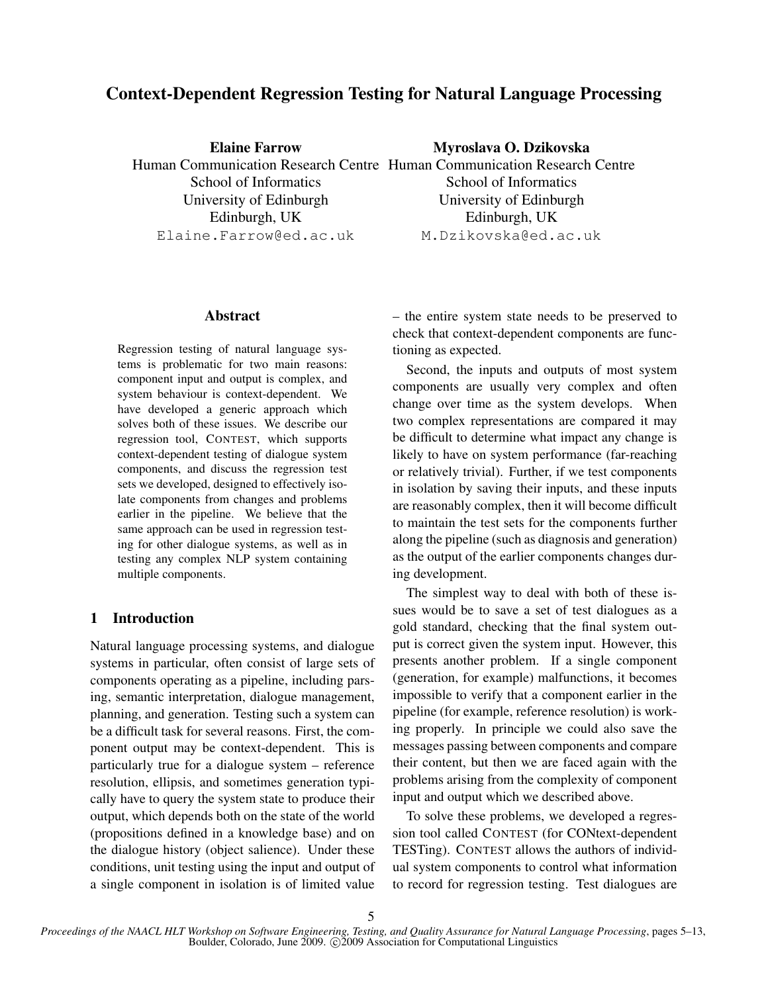# Context-Dependent Regression Testing for Natural Language Processing

Elaine Farrow

Human Communication Research Centre Human Communication Research Centre School of Informatics University of Edinburgh Edinburgh, UK Elaine.Farrow@ed.ac.uk Myroslava O. Dzikovska School of Informatics University of Edinburgh Edinburgh, UK M.Dzikovska@ed.ac.uk

## Abstract

Regression testing of natural language systems is problematic for two main reasons: component input and output is complex, and system behaviour is context-dependent. We have developed a generic approach which solves both of these issues. We describe our regression tool, CONTEST, which supports context-dependent testing of dialogue system components, and discuss the regression test sets we developed, designed to effectively isolate components from changes and problems earlier in the pipeline. We believe that the same approach can be used in regression testing for other dialogue systems, as well as in testing any complex NLP system containing multiple components.

# 1 Introduction

Natural language processing systems, and dialogue systems in particular, often consist of large sets of components operating as a pipeline, including parsing, semantic interpretation, dialogue management, planning, and generation. Testing such a system can be a difficult task for several reasons. First, the component output may be context-dependent. This is particularly true for a dialogue system – reference resolution, ellipsis, and sometimes generation typically have to query the system state to produce their output, which depends both on the state of the world (propositions defined in a knowledge base) and on the dialogue history (object salience). Under these conditions, unit testing using the input and output of a single component in isolation is of limited value – the entire system state needs to be preserved to check that context-dependent components are functioning as expected.

Second, the inputs and outputs of most system components are usually very complex and often change over time as the system develops. When two complex representations are compared it may be difficult to determine what impact any change is likely to have on system performance (far-reaching or relatively trivial). Further, if we test components in isolation by saving their inputs, and these inputs are reasonably complex, then it will become difficult to maintain the test sets for the components further along the pipeline (such as diagnosis and generation) as the output of the earlier components changes during development.

The simplest way to deal with both of these issues would be to save a set of test dialogues as a gold standard, checking that the final system output is correct given the system input. However, this presents another problem. If a single component (generation, for example) malfunctions, it becomes impossible to verify that a component earlier in the pipeline (for example, reference resolution) is working properly. In principle we could also save the messages passing between components and compare their content, but then we are faced again with the problems arising from the complexity of component input and output which we described above.

To solve these problems, we developed a regression tool called CONTEST (for CONtext-dependent TESTing). CONTEST allows the authors of individual system components to control what information to record for regression testing. Test dialogues are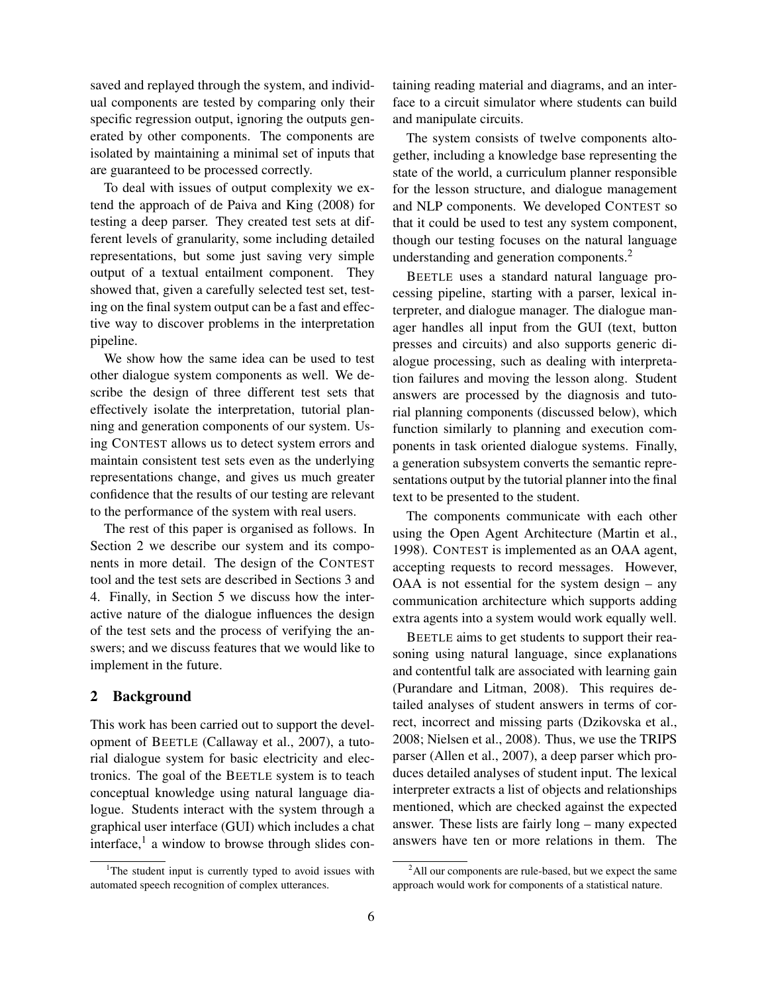saved and replayed through the system, and individual components are tested by comparing only their specific regression output, ignoring the outputs generated by other components. The components are isolated by maintaining a minimal set of inputs that are guaranteed to be processed correctly.

To deal with issues of output complexity we extend the approach of de Paiva and King (2008) for testing a deep parser. They created test sets at different levels of granularity, some including detailed representations, but some just saving very simple output of a textual entailment component. They showed that, given a carefully selected test set, testing on the final system output can be a fast and effective way to discover problems in the interpretation pipeline.

We show how the same idea can be used to test other dialogue system components as well. We describe the design of three different test sets that effectively isolate the interpretation, tutorial planning and generation components of our system. Using CONTEST allows us to detect system errors and maintain consistent test sets even as the underlying representations change, and gives us much greater confidence that the results of our testing are relevant to the performance of the system with real users.

The rest of this paper is organised as follows. In Section 2 we describe our system and its components in more detail. The design of the CONTEST tool and the test sets are described in Sections 3 and 4. Finally, in Section 5 we discuss how the interactive nature of the dialogue influences the design of the test sets and the process of verifying the answers; and we discuss features that we would like to implement in the future.

# 2 Background

This work has been carried out to support the development of BEETLE (Callaway et al., 2007), a tutorial dialogue system for basic electricity and electronics. The goal of the BEETLE system is to teach conceptual knowledge using natural language dialogue. Students interact with the system through a graphical user interface (GUI) which includes a chat interface,<sup>1</sup> a window to browse through slides containing reading material and diagrams, and an interface to a circuit simulator where students can build and manipulate circuits.

The system consists of twelve components altogether, including a knowledge base representing the state of the world, a curriculum planner responsible for the lesson structure, and dialogue management and NLP components. We developed CONTEST so that it could be used to test any system component, though our testing focuses on the natural language understanding and generation components.<sup>2</sup>

BEETLE uses a standard natural language processing pipeline, starting with a parser, lexical interpreter, and dialogue manager. The dialogue manager handles all input from the GUI (text, button presses and circuits) and also supports generic dialogue processing, such as dealing with interpretation failures and moving the lesson along. Student answers are processed by the diagnosis and tutorial planning components (discussed below), which function similarly to planning and execution components in task oriented dialogue systems. Finally, a generation subsystem converts the semantic representations output by the tutorial planner into the final text to be presented to the student.

The components communicate with each other using the Open Agent Architecture (Martin et al., 1998). CONTEST is implemented as an OAA agent, accepting requests to record messages. However, OAA is not essential for the system design – any communication architecture which supports adding extra agents into a system would work equally well.

BEETLE aims to get students to support their reasoning using natural language, since explanations and contentful talk are associated with learning gain (Purandare and Litman, 2008). This requires detailed analyses of student answers in terms of correct, incorrect and missing parts (Dzikovska et al., 2008; Nielsen et al., 2008). Thus, we use the TRIPS parser (Allen et al., 2007), a deep parser which produces detailed analyses of student input. The lexical interpreter extracts a list of objects and relationships mentioned, which are checked against the expected answer. These lists are fairly long – many expected answers have ten or more relations in them. The

<sup>&</sup>lt;sup>1</sup>The student input is currently typed to avoid issues with automated speech recognition of complex utterances.

<sup>&</sup>lt;sup>2</sup>All our components are rule-based, but we expect the same approach would work for components of a statistical nature.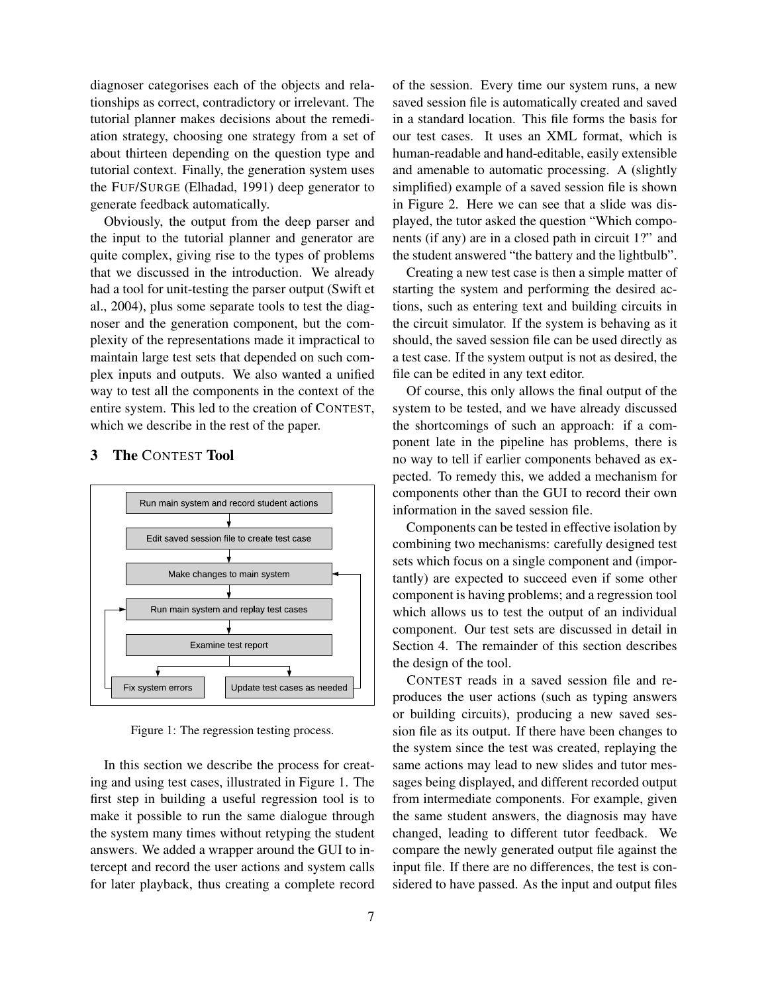diagnoser categorises each of the objects and relationships as correct, contradictory or irrelevant. The tutorial planner makes decisions about the remediation strategy, choosing one strategy from a set of about thirteen depending on the question type and tutorial context. Finally, the generation system uses the FUF/SURGE (Elhadad, 1991) deep generator to generate feedback automatically.

Obviously, the output from the deep parser and the input to the tutorial planner and generator are quite complex, giving rise to the types of problems that we discussed in the introduction. We already had a tool for unit-testing the parser output (Swift et al., 2004), plus some separate tools to test the diagnoser and the generation component, but the complexity of the representations made it impractical to maintain large test sets that depended on such complex inputs and outputs. We also wanted a unified way to test all the components in the context of the entire system. This led to the creation of CONTEST, which we describe in the rest of the paper.

# 3 The CONTEST Tool



Figure 1: The regression testing process.

In this section we describe the process for creating and using test cases, illustrated in Figure 1. The first step in building a useful regression tool is to make it possible to run the same dialogue through the system many times without retyping the student answers. We added a wrapper around the GUI to intercept and record the user actions and system calls for later playback, thus creating a complete record of the session. Every time our system runs, a new saved session file is automatically created and saved in a standard location. This file forms the basis for our test cases. It uses an XML format, which is human-readable and hand-editable, easily extensible and amenable to automatic processing. A (slightly simplified) example of a saved session file is shown in Figure 2. Here we can see that a slide was displayed, the tutor asked the question "Which components (if any) are in a closed path in circuit 1?" and the student answered "the battery and the lightbulb".

Creating a new test case is then a simple matter of starting the system and performing the desired actions, such as entering text and building circuits in the circuit simulator. If the system is behaving as it should, the saved session file can be used directly as a test case. If the system output is not as desired, the file can be edited in any text editor.

Of course, this only allows the final output of the system to be tested, and we have already discussed the shortcomings of such an approach: if a component late in the pipeline has problems, there is no way to tell if earlier components behaved as expected. To remedy this, we added a mechanism for components other than the GUI to record their own information in the saved session file.

Components can be tested in effective isolation by combining two mechanisms: carefully designed test sets which focus on a single component and (importantly) are expected to succeed even if some other component is having problems; and a regression tool which allows us to test the output of an individual component. Our test sets are discussed in detail in Section 4. The remainder of this section describes the design of the tool.

CONTEST reads in a saved session file and reproduces the user actions (such as typing answers or building circuits), producing a new saved session file as its output. If there have been changes to the system since the test was created, replaying the same actions may lead to new slides and tutor messages being displayed, and different recorded output from intermediate components. For example, given the same student answers, the diagnosis may have changed, leading to different tutor feedback. We compare the newly generated output file against the input file. If there are no differences, the test is considered to have passed. As the input and output files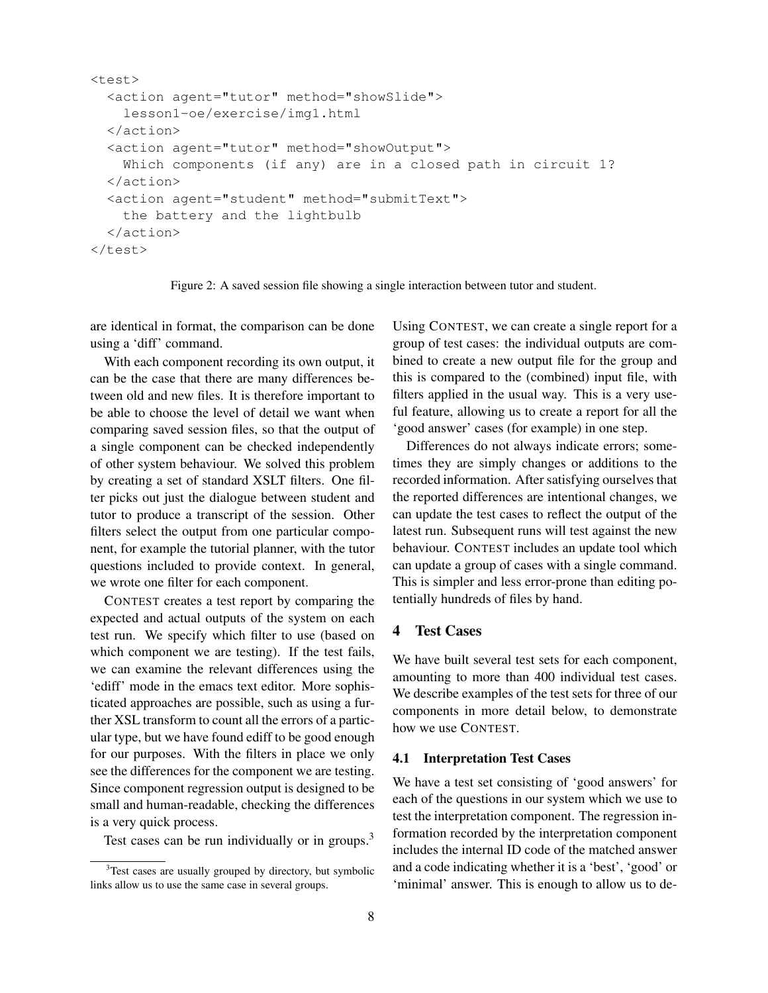```
<test>
  <action agent="tutor" method="showSlide">
    lesson1-oe/exercise/img1.html
  </action>
  <action agent="tutor" method="showOutput">
    Which components (if any) are in a closed path in circuit 1?
  </action>
  <action agent="student" method="submitText">
    the battery and the lightbulb
  </action>
</test>
```
Figure 2: A saved session file showing a single interaction between tutor and student.

are identical in format, the comparison can be done using a 'diff' command.

With each component recording its own output, it can be the case that there are many differences between old and new files. It is therefore important to be able to choose the level of detail we want when comparing saved session files, so that the output of a single component can be checked independently of other system behaviour. We solved this problem by creating a set of standard XSLT filters. One filter picks out just the dialogue between student and tutor to produce a transcript of the session. Other filters select the output from one particular component, for example the tutorial planner, with the tutor questions included to provide context. In general, we wrote one filter for each component.

CONTEST creates a test report by comparing the expected and actual outputs of the system on each test run. We specify which filter to use (based on which component we are testing). If the test fails, we can examine the relevant differences using the 'ediff' mode in the emacs text editor. More sophisticated approaches are possible, such as using a further XSL transform to count all the errors of a particular type, but we have found ediff to be good enough for our purposes. With the filters in place we only see the differences for the component we are testing. Since component regression output is designed to be small and human-readable, checking the differences is a very quick process.

Test cases can be run individually or in groups. $3$ 

Using CONTEST, we can create a single report for a group of test cases: the individual outputs are combined to create a new output file for the group and this is compared to the (combined) input file, with filters applied in the usual way. This is a very useful feature, allowing us to create a report for all the 'good answer' cases (for example) in one step.

Differences do not always indicate errors; sometimes they are simply changes or additions to the recorded information. After satisfying ourselves that the reported differences are intentional changes, we can update the test cases to reflect the output of the latest run. Subsequent runs will test against the new behaviour. CONTEST includes an update tool which can update a group of cases with a single command. This is simpler and less error-prone than editing potentially hundreds of files by hand.

# 4 Test Cases

We have built several test sets for each component, amounting to more than 400 individual test cases. We describe examples of the test sets for three of our components in more detail below, to demonstrate how we use CONTEST.

## 4.1 Interpretation Test Cases

We have a test set consisting of 'good answers' for each of the questions in our system which we use to test the interpretation component. The regression information recorded by the interpretation component includes the internal ID code of the matched answer and a code indicating whether it is a 'best', 'good' or 'minimal' answer. This is enough to allow us to de-

<sup>&</sup>lt;sup>3</sup>Test cases are usually grouped by directory, but symbolic links allow us to use the same case in several groups.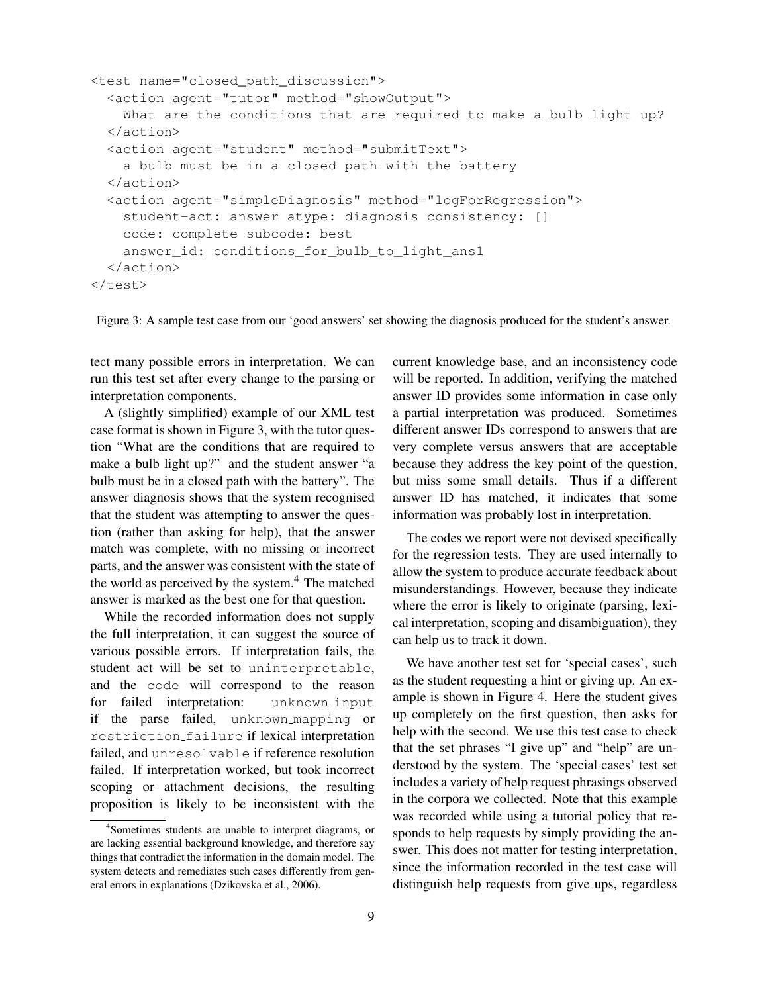```
<test name="closed_path_discussion">
 <action agent="tutor" method="showOutput">
   What are the conditions that are required to make a bulb light up?
  </action>
  <action agent="student" method="submitText">
   a bulb must be in a closed path with the battery
  </action>
  <action agent="simpleDiagnosis" method="logForRegression">
   student-act: answer atype: diagnosis consistency: []
   code: complete subcode: best
   answer id: conditions for bulb to light ans1
  </action>
</test>
```
Figure 3: A sample test case from our 'good answers' set showing the diagnosis produced for the student's answer.

tect many possible errors in interpretation. We can run this test set after every change to the parsing or interpretation components.

A (slightly simplified) example of our XML test case format is shown in Figure 3, with the tutor question "What are the conditions that are required to make a bulb light up?" and the student answer "a bulb must be in a closed path with the battery". The answer diagnosis shows that the system recognised that the student was attempting to answer the question (rather than asking for help), that the answer match was complete, with no missing or incorrect parts, and the answer was consistent with the state of the world as perceived by the system.<sup>4</sup> The matched answer is marked as the best one for that question.

While the recorded information does not supply the full interpretation, it can suggest the source of various possible errors. If interpretation fails, the student act will be set to uninterpretable, and the code will correspond to the reason for failed interpretation: unknown input if the parse failed, unknown mapping or restriction failure if lexical interpretation failed, and unresolvable if reference resolution failed. If interpretation worked, but took incorrect scoping or attachment decisions, the resulting proposition is likely to be inconsistent with the

current knowledge base, and an inconsistency code will be reported. In addition, verifying the matched answer ID provides some information in case only a partial interpretation was produced. Sometimes different answer IDs correspond to answers that are very complete versus answers that are acceptable because they address the key point of the question, but miss some small details. Thus if a different answer ID has matched, it indicates that some information was probably lost in interpretation.

The codes we report were not devised specifically for the regression tests. They are used internally to allow the system to produce accurate feedback about misunderstandings. However, because they indicate where the error is likely to originate (parsing, lexical interpretation, scoping and disambiguation), they can help us to track it down.

We have another test set for 'special cases', such as the student requesting a hint or giving up. An example is shown in Figure 4. Here the student gives up completely on the first question, then asks for help with the second. We use this test case to check that the set phrases "I give up" and "help" are understood by the system. The 'special cases' test set includes a variety of help request phrasings observed in the corpora we collected. Note that this example was recorded while using a tutorial policy that responds to help requests by simply providing the answer. This does not matter for testing interpretation, since the information recorded in the test case will distinguish help requests from give ups, regardless

<sup>4</sup> Sometimes students are unable to interpret diagrams, or are lacking essential background knowledge, and therefore say things that contradict the information in the domain model. The system detects and remediates such cases differently from general errors in explanations (Dzikovska et al., 2006).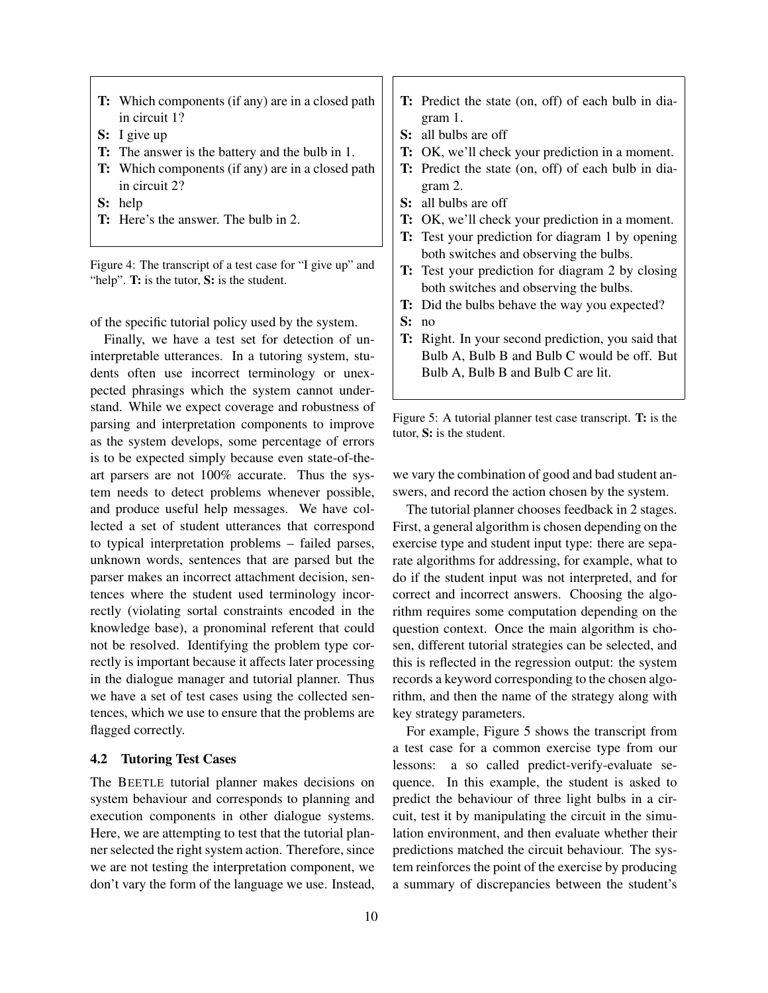- T: Which components (if any) are in a closed path in circuit 1?
- S: I give up
- T: The answer is the battery and the bulb in 1.
- T: Which components (if any) are in a closed path in circuit 2?
- S: help
- T: Here's the answer. The bulb in 2.

Figure 4: The transcript of a test case for "I give up" and "help". T: is the tutor, S: is the student.

of the specific tutorial policy used by the system.

Finally, we have a test set for detection of uninterpretable utterances. In a tutoring system, students often use incorrect terminology or unexpected phrasings which the system cannot understand. While we expect coverage and robustness of parsing and interpretation components to improve as the system develops, some percentage of errors is to be expected simply because even state-of-theart parsers are not 100% accurate. Thus the system needs to detect problems whenever possible, and produce useful help messages. We have collected a set of student utterances that correspond to typical interpretation problems – failed parses, unknown words, sentences that are parsed but the parser makes an incorrect attachment decision, sentences where the student used terminology incorrectly (violating sortal constraints encoded in the knowledge base), a pronominal referent that could not be resolved. Identifying the problem type correctly is important because it affects later processing in the dialogue manager and tutorial planner. Thus we have a set of test cases using the collected sentences, which we use to ensure that the problems are flagged correctly.

#### 4.2 Tutoring Test Cases

The BEETLE tutorial planner makes decisions on system behaviour and corresponds to planning and execution components in other dialogue systems. Here, we are attempting to test that the tutorial planner selected the right system action. Therefore, since we are not testing the interpretation component, we don't vary the form of the language we use. Instead,

- T: Predict the state (on, off) of each bulb in diagram 1.
- S: all bulbs are off
- T: OK, we'll check your prediction in a moment.
- T: Predict the state (on, off) of each bulb in diagram 2.
- S: all bulbs are off
- T: OK, we'll check your prediction in a moment.
- T: Test your prediction for diagram 1 by opening both switches and observing the bulbs.
- T: Test your prediction for diagram 2 by closing both switches and observing the bulbs.
- T: Did the bulbs behave the way you expected?
- S: no
- T: Right. In your second prediction, you said that Bulb A, Bulb B and Bulb C would be off. But Bulb A, Bulb B and Bulb C are lit.

Figure 5: A tutorial planner test case transcript. T: is the tutor, S: is the student.

we vary the combination of good and bad student answers, and record the action chosen by the system.

The tutorial planner chooses feedback in 2 stages. First, a general algorithm is chosen depending on the exercise type and student input type: there are separate algorithms for addressing, for example, what to do if the student input was not interpreted, and for correct and incorrect answers. Choosing the algorithm requires some computation depending on the question context. Once the main algorithm is chosen, different tutorial strategies can be selected, and this is reflected in the regression output: the system records a keyword corresponding to the chosen algorithm, and then the name of the strategy along with key strategy parameters.

For example, Figure 5 shows the transcript from a test case for a common exercise type from our lessons: a so called predict-verify-evaluate sequence. In this example, the student is asked to predict the behaviour of three light bulbs in a circuit, test it by manipulating the circuit in the simulation environment, and then evaluate whether their predictions matched the circuit behaviour. The system reinforces the point of the exercise by producing a summary of discrepancies between the student's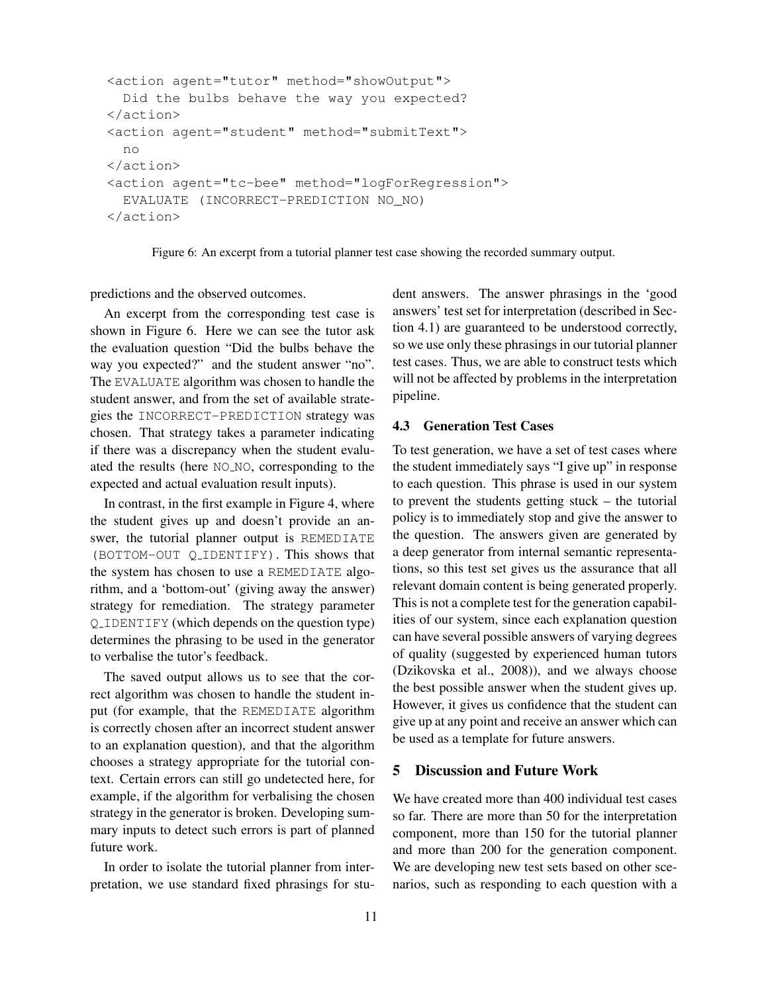```
<action agent="tutor" method="showOutput">
 Did the bulbs behave the way you expected?
</action>
<action agent="student" method="submitText">
 no
</action>
<action agent="tc-bee" method="logForRegression">
 EVALUATE (INCORRECT-PREDICTION NO_NO)
</action>
```
Figure 6: An excerpt from a tutorial planner test case showing the recorded summary output.

predictions and the observed outcomes.

An excerpt from the corresponding test case is shown in Figure 6. Here we can see the tutor ask the evaluation question "Did the bulbs behave the way you expected?" and the student answer "no". The EVALUATE algorithm was chosen to handle the student answer, and from the set of available strategies the INCORRECT-PREDICTION strategy was chosen. That strategy takes a parameter indicating if there was a discrepancy when the student evaluated the results (here NO\_NO, corresponding to the expected and actual evaluation result inputs).

In contrast, in the first example in Figure 4, where the student gives up and doesn't provide an answer, the tutorial planner output is REMEDIATE (BOTTOM-OUT Q IDENTIFY). This shows that the system has chosen to use a REMEDIATE algorithm, and a 'bottom-out' (giving away the answer) strategy for remediation. The strategy parameter Q IDENTIFY (which depends on the question type) determines the phrasing to be used in the generator to verbalise the tutor's feedback.

The saved output allows us to see that the correct algorithm was chosen to handle the student input (for example, that the REMEDIATE algorithm is correctly chosen after an incorrect student answer to an explanation question), and that the algorithm chooses a strategy appropriate for the tutorial context. Certain errors can still go undetected here, for example, if the algorithm for verbalising the chosen strategy in the generator is broken. Developing summary inputs to detect such errors is part of planned future work.

In order to isolate the tutorial planner from interpretation, we use standard fixed phrasings for student answers. The answer phrasings in the 'good answers' test set for interpretation (described in Section 4.1) are guaranteed to be understood correctly, so we use only these phrasings in our tutorial planner test cases. Thus, we are able to construct tests which will not be affected by problems in the interpretation pipeline.

#### 4.3 Generation Test Cases

To test generation, we have a set of test cases where the student immediately says "I give up" in response to each question. This phrase is used in our system to prevent the students getting stuck – the tutorial policy is to immediately stop and give the answer to the question. The answers given are generated by a deep generator from internal semantic representations, so this test set gives us the assurance that all relevant domain content is being generated properly. This is not a complete test for the generation capabilities of our system, since each explanation question can have several possible answers of varying degrees of quality (suggested by experienced human tutors (Dzikovska et al., 2008)), and we always choose the best possible answer when the student gives up. However, it gives us confidence that the student can give up at any point and receive an answer which can be used as a template for future answers.

# 5 Discussion and Future Work

We have created more than 400 individual test cases so far. There are more than 50 for the interpretation component, more than 150 for the tutorial planner and more than 200 for the generation component. We are developing new test sets based on other scenarios, such as responding to each question with a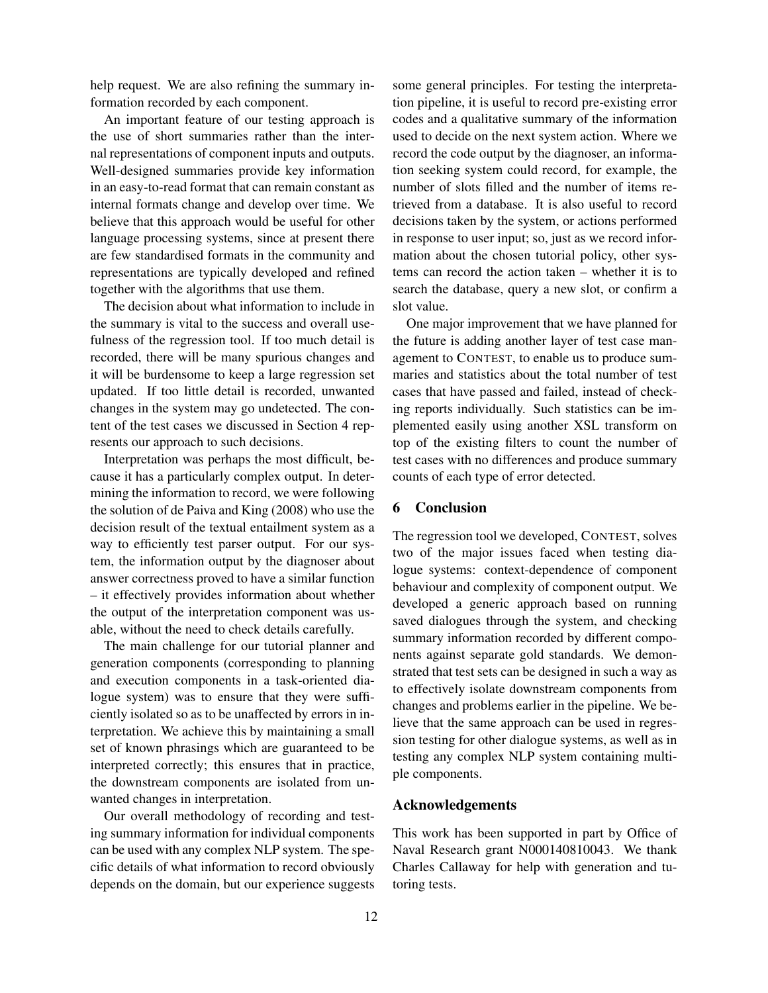help request. We are also refining the summary information recorded by each component.

An important feature of our testing approach is the use of short summaries rather than the internal representations of component inputs and outputs. Well-designed summaries provide key information in an easy-to-read format that can remain constant as internal formats change and develop over time. We believe that this approach would be useful for other language processing systems, since at present there are few standardised formats in the community and representations are typically developed and refined together with the algorithms that use them.

The decision about what information to include in the summary is vital to the success and overall usefulness of the regression tool. If too much detail is recorded, there will be many spurious changes and it will be burdensome to keep a large regression set updated. If too little detail is recorded, unwanted changes in the system may go undetected. The content of the test cases we discussed in Section 4 represents our approach to such decisions.

Interpretation was perhaps the most difficult, because it has a particularly complex output. In determining the information to record, we were following the solution of de Paiva and King (2008) who use the decision result of the textual entailment system as a way to efficiently test parser output. For our system, the information output by the diagnoser about answer correctness proved to have a similar function – it effectively provides information about whether the output of the interpretation component was usable, without the need to check details carefully.

The main challenge for our tutorial planner and generation components (corresponding to planning and execution components in a task-oriented dialogue system) was to ensure that they were sufficiently isolated so as to be unaffected by errors in interpretation. We achieve this by maintaining a small set of known phrasings which are guaranteed to be interpreted correctly; this ensures that in practice, the downstream components are isolated from unwanted changes in interpretation.

Our overall methodology of recording and testing summary information for individual components can be used with any complex NLP system. The specific details of what information to record obviously depends on the domain, but our experience suggests some general principles. For testing the interpretation pipeline, it is useful to record pre-existing error codes and a qualitative summary of the information used to decide on the next system action. Where we record the code output by the diagnoser, an information seeking system could record, for example, the number of slots filled and the number of items retrieved from a database. It is also useful to record decisions taken by the system, or actions performed in response to user input; so, just as we record information about the chosen tutorial policy, other systems can record the action taken – whether it is to search the database, query a new slot, or confirm a slot value.

One major improvement that we have planned for the future is adding another layer of test case management to CONTEST, to enable us to produce summaries and statistics about the total number of test cases that have passed and failed, instead of checking reports individually. Such statistics can be implemented easily using another XSL transform on top of the existing filters to count the number of test cases with no differences and produce summary counts of each type of error detected.

# 6 Conclusion

The regression tool we developed, CONTEST, solves two of the major issues faced when testing dialogue systems: context-dependence of component behaviour and complexity of component output. We developed a generic approach based on running saved dialogues through the system, and checking summary information recorded by different components against separate gold standards. We demonstrated that test sets can be designed in such a way as to effectively isolate downstream components from changes and problems earlier in the pipeline. We believe that the same approach can be used in regression testing for other dialogue systems, as well as in testing any complex NLP system containing multiple components.

## Acknowledgements

This work has been supported in part by Office of Naval Research grant N000140810043. We thank Charles Callaway for help with generation and tutoring tests.